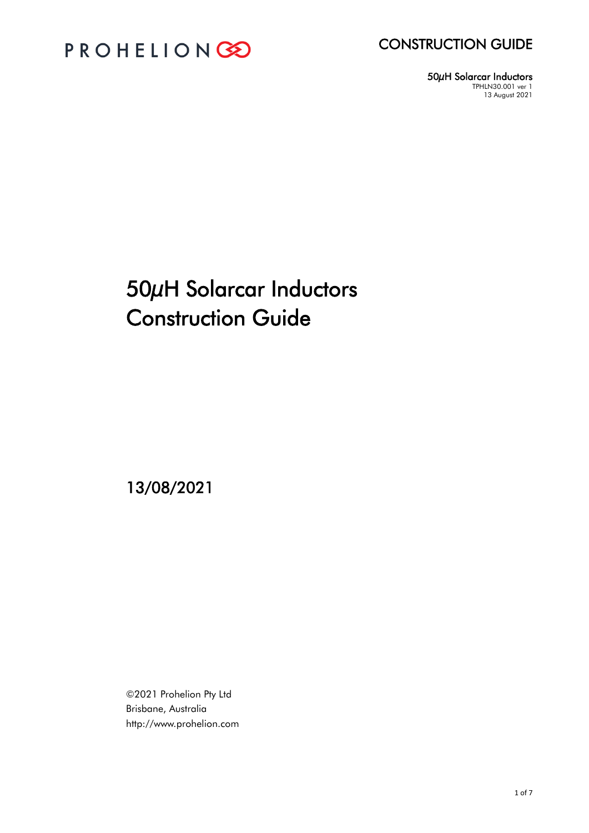



50µH Solarcar Inductors TPHLN30.001 ver 1 13 August 2021

# 50µH Solarcar Inductors Construction Guide

13/08/2021

©2021 Prohelion Pty Ltd Brisbane, Australia http://www.prohelion.com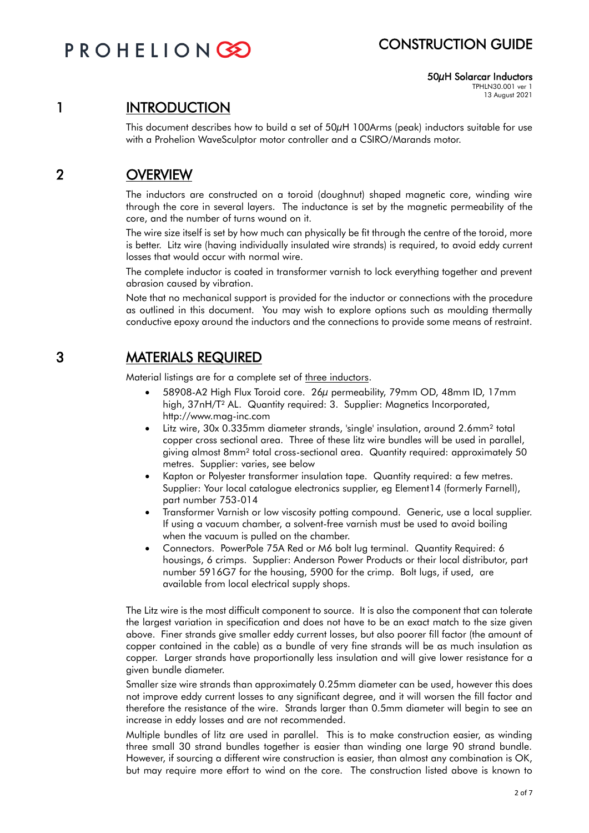# PROHELIONG

## CONSTRUCTION GUIDE

50µH Solarcar Inductors TPHLN30.001 ver 1

13 August 2021

# 1 INTRODUCTION

This document describes how to build a set of 50µH 100Arms (peak) inductors suitable for use with a Prohelion WaveSculptor motor controller and a CSIRO/Marands motor.

## 2 OVERVIEW

The inductors are constructed on a toroid (doughnut) shaped magnetic core, winding wire through the core in several layers. The inductance is set by the magnetic permeability of the core, and the number of turns wound on it.

The wire size itself is set by how much can physically be fit through the centre of the toroid, more is better. Litz wire (having individually insulated wire strands) is required, to avoid eddy current losses that would occur with normal wire.

The complete inductor is coated in transformer varnish to lock everything together and prevent abrasion caused by vibration.

Note that no mechanical support is provided for the inductor or connections with the procedure as outlined in this document. You may wish to explore options such as moulding thermally conductive epoxy around the inductors and the connections to provide some means of restraint.

## 3 MATERIALS REQUIRED

Material listings are for a complete set of three inductors.

- 58908-A2 High Flux Toroid core. 26µ permeability, 79mm OD, 48mm ID, 17mm high, 37nH/T² AL. Quantity required: 3. Supplier: Magnetics Incorporated, http://www.mag-inc.com
- Litz wire, 30x 0.335mm diameter strands, 'single' insulation, around 2.6mm² total copper cross sectional area. Three of these litz wire bundles will be used in parallel, giving almost 8mm² total cross-sectional area. Quantity required: approximately 50 metres. Supplier: varies, see below
- Kapton or Polyester transformer insulation tape. Quantity required: a few metres. Supplier: Your local catalogue electronics supplier, eg Element14 (formerly Farnell), part number 753-014
- Transformer Varnish or low viscosity potting compound. Generic, use a local supplier. If using a vacuum chamber, a solvent-free varnish must be used to avoid boiling when the vacuum is pulled on the chamber.
- Connectors. PowerPole 75A Red or M6 bolt lug terminal. Quantity Required: 6 housings, 6 crimps. Supplier: Anderson Power Products or their local distributor, part number 5916G7 for the housing, 5900 for the crimp. Bolt lugs, if used, are available from local electrical supply shops.

The Litz wire is the most difficult component to source. It is also the component that can tolerate the largest variation in specification and does not have to be an exact match to the size given above. Finer strands give smaller eddy current losses, but also poorer fill factor (the amount of copper contained in the cable) as a bundle of very fine strands will be as much insulation as copper. Larger strands have proportionally less insulation and will give lower resistance for a given bundle diameter.

Smaller size wire strands than approximately 0.25mm diameter can be used, however this does not improve eddy current losses to any significant degree, and it will worsen the fill factor and therefore the resistance of the wire. Strands larger than 0.5mm diameter will begin to see an increase in eddy losses and are not recommended.

Multiple bundles of litz are used in parallel. This is to make construction easier, as winding three small 30 strand bundles together is easier than winding one large 90 strand bundle. However, if sourcing a different wire construction is easier, than almost any combination is OK, but may require more effort to wind on the core. The construction listed above is known to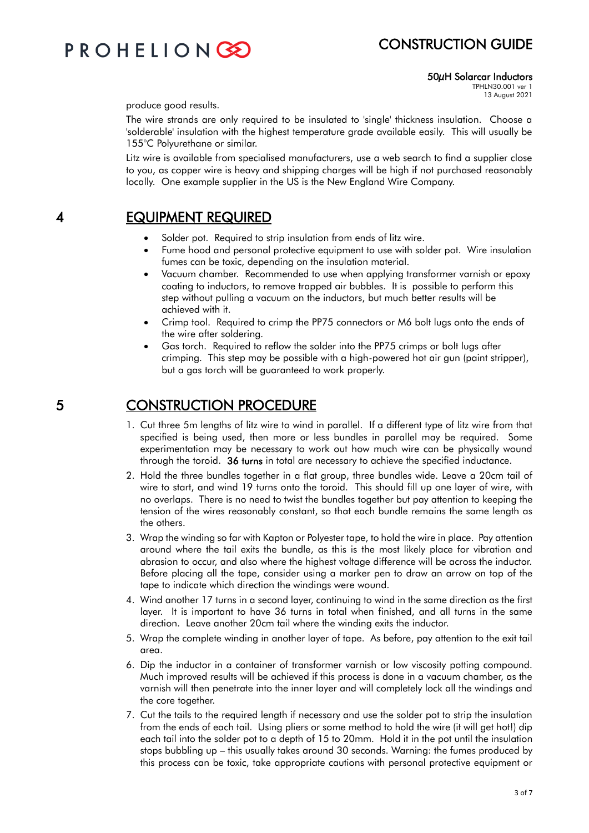## CONSTRUCTION GUIDE

# PROHELIONG

### 50µH Solarcar Inductors

TPHLN30.001 ver 1 13 August 2021

produce good results.

The wire strands are only required to be insulated to 'single' thickness insulation. Choose a 'solderable' insulation with the highest temperature grade available easily. This will usually be 155°C Polyurethane or similar.

Litz wire is available from specialised manufacturers, use a web search to find a supplier close to you, as copper wire is heavy and shipping charges will be high if not purchased reasonably locally. One example supplier in the US is the New England Wire Company.

### 4 EQUIPMENT REQUIRED

- Solder pot. Required to strip insulation from ends of litz wire.
- Fume hood and personal protective equipment to use with solder pot. Wire insulation fumes can be toxic, depending on the insulation material.
- Vacuum chamber. Recommended to use when applying transformer varnish or epoxy coating to inductors, to remove trapped air bubbles. It is possible to perform this step without pulling a vacuum on the inductors, but much better results will be achieved with it.
- Crimp tool. Required to crimp the PP75 connectors or M6 bolt lugs onto the ends of the wire after soldering.
- Gas torch. Required to reflow the solder into the PP75 crimps or bolt lugs after crimping. This step may be possible with a high-powered hot air gun (paint stripper), but a gas torch will be guaranteed to work properly.

### 5 CONSTRUCTION PROCEDURE

- 1. Cut three 5m lengths of litz wire to wind in parallel. If a different type of litz wire from that specified is being used, then more or less bundles in parallel may be required. Some experimentation may be necessary to work out how much wire can be physically wound through the toroid. 36 turns in total are necessary to achieve the specified inductance.
- 2. Hold the three bundles together in a flat group, three bundles wide. Leave a 20cm tail of wire to start, and wind 19 turns onto the toroid. This should fill up one layer of wire, with no overlaps. There is no need to twist the bundles together but pay attention to keeping the tension of the wires reasonably constant, so that each bundle remains the same length as the others.
- 3. Wrap the winding so far with Kapton or Polyester tape, to hold the wire in place. Pay attention around where the tail exits the bundle, as this is the most likely place for vibration and abrasion to occur, and also where the highest voltage difference will be across the inductor. Before placing all the tape, consider using a marker pen to draw an arrow on top of the tape to indicate which direction the windings were wound.
- 4. Wind another 17 turns in a second layer, continuing to wind in the same direction as the first layer. It is important to have 36 turns in total when finished, and all turns in the same direction. Leave another 20cm tail where the winding exits the inductor.
- 5. Wrap the complete winding in another layer of tape. As before, pay attention to the exit tail area.
- 6. Dip the inductor in a container of transformer varnish or low viscosity potting compound. Much improved results will be achieved if this process is done in a vacuum chamber, as the varnish will then penetrate into the inner layer and will completely lock all the windings and the core together.
- 7. Cut the tails to the required length if necessary and use the solder pot to strip the insulation from the ends of each tail. Using pliers or some method to hold the wire (it will get hot!) dip each tail into the solder pot to a depth of 15 to 20mm. Hold it in the pot until the insulation stops bubbling up – this usually takes around 30 seconds. Warning: the fumes produced by this process can be toxic, take appropriate cautions with personal protective equipment or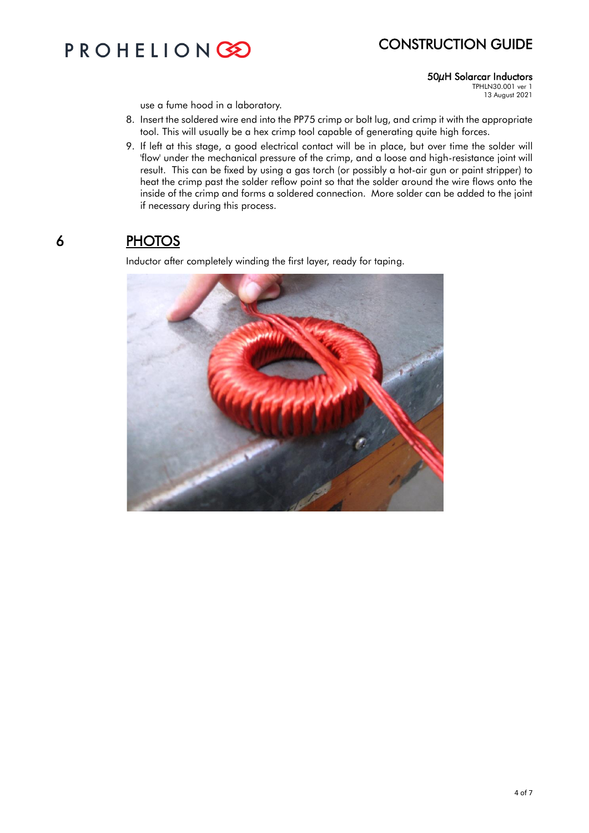# PROHELIONGO

# CONSTRUCTION GUIDE

### 50µH Solarcar Inductors

TPHLN30.001 ver 1 13 August 2021

use a fume hood in a laboratory.

- 8. Insert the soldered wire end into the PP75 crimp or bolt lug, and crimp it with the appropriate tool. This will usually be a hex crimp tool capable of generating quite high forces.
- 9. If left at this stage, a good electrical contact will be in place, but over time the solder will 'flow' under the mechanical pressure of the crimp, and a loose and high-resistance joint will result. This can be fixed by using a gas torch (or possibly a hot-air gun or paint stripper) to heat the crimp past the solder reflow point so that the solder around the wire flows onto the inside of the crimp and forms a soldered connection. More solder can be added to the joint if necessary during this process.

## 6 PHOTOS

Inductor after completely winding the first layer, ready for taping.

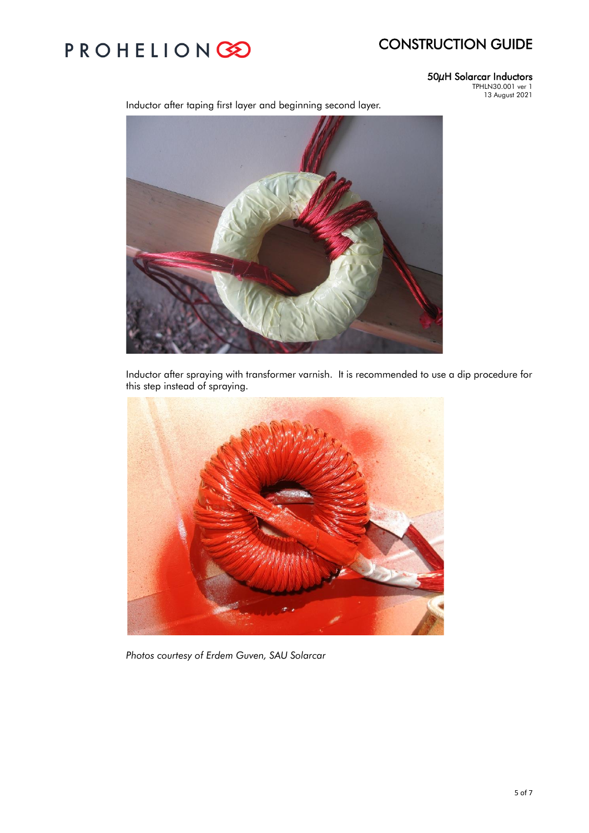# CONSTRUCTION GUIDE

# PROHELIONGO

### 50µH Solarcar Inductors

TPHLN30.001 ver 1 13 August 2021



Inductor after spraying with transformer varnish. It is recommended to use a dip procedure for this step instead of spraying.



*Photos courtesy of Erdem Guven, SAU Solarcar*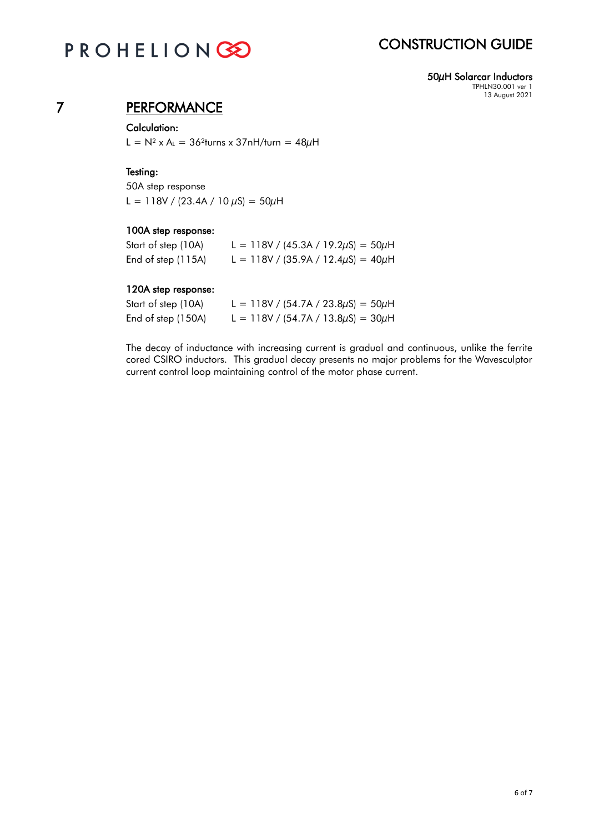# PROHELIONGO

# CONSTRUCTION GUIDE

50µH Solarcar Inductors TPHLN30.001 ver 1 13 August 2021

## 7 PERFORMANCE

### Calculation:

L =  $N^2$  x A<sub>L</sub> = 36<sup>2</sup>turns x 37nH/turn = 48 $\mu$ H

### Testing:

50A step response L = 118V / (23.4A / 10  $\mu$ S) = 50 $\mu$ H

### 100A step response:

| Start of step (10A) | L = 118V / (45.3A / 19.2 $\mu$ S) = 50 $\mu$ H |
|---------------------|------------------------------------------------|
| End of step (115A)  | L = 118V / (35.9A / 12.4 $\mu$ S) = 40 $\mu$ H |

### 120A step response:

| Start of step (10A) | L = 118V / (54.7A / 23.8 $\mu$ S) = 50 $\mu$ H |
|---------------------|------------------------------------------------|
| End of step (150A)  | L = 118V / (54.7A / 13.8 $\mu$ S) = 30 $\mu$ H |

The decay of inductance with increasing current is gradual and continuous, unlike the ferrite cored CSIRO inductors. This gradual decay presents no major problems for the Wavesculptor current control loop maintaining control of the motor phase current.